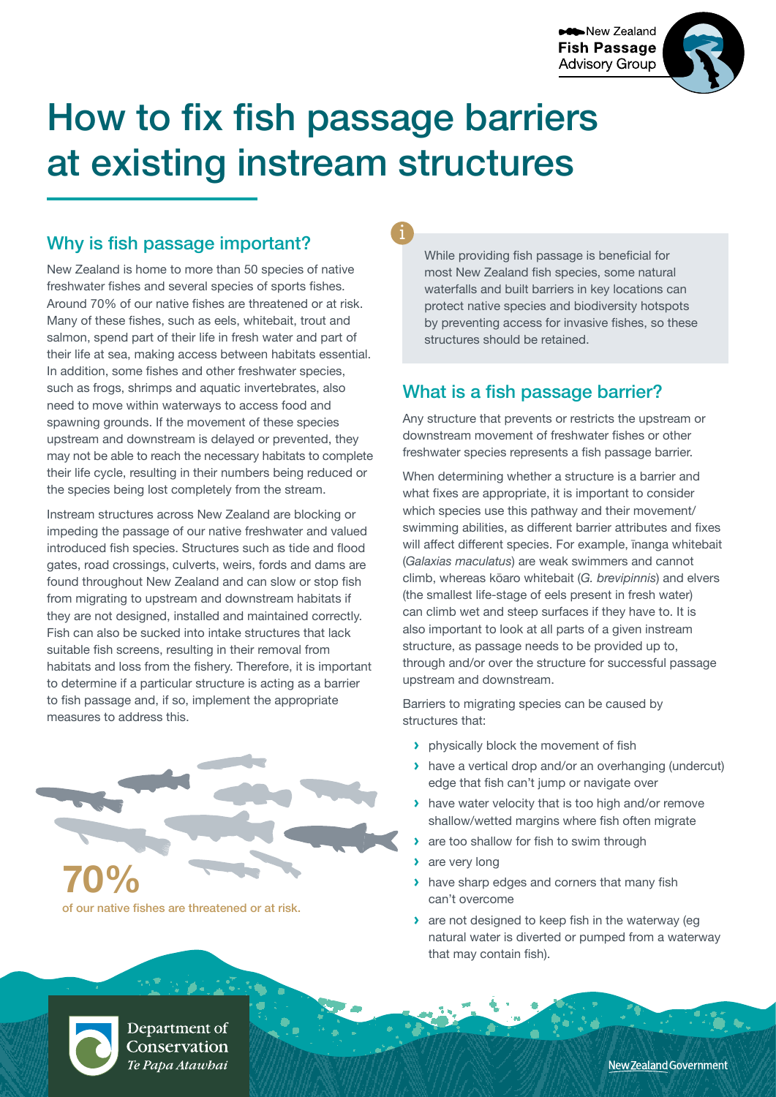**New Zealand Fish Passage Advisory Group** 



# How to fix fish passage barriers at existing instream structures

# Why is fish passage important?

New Zealand is home to more than 50 species of native freshwater fishes and several species of sports fishes. Around 70% of our native fishes are threatened or at risk. Many of these fishes, such as eels, whitebait, trout and salmon, spend part of their life in fresh water and part of their life at sea, making access between habitats essential. In addition, some fishes and other freshwater species, such as frogs, shrimps and aquatic invertebrates, also need to move within waterways to access food and spawning grounds. If the movement of these species upstream and downstream is delayed or prevented, they may not be able to reach the necessary habitats to complete their life cycle, resulting in their numbers being reduced or the species being lost completely from the stream.

Instream structures across New Zealand are blocking or impeding the passage of our native freshwater and valued introduced fish species. Structures such as tide and flood gates, road crossings, culverts, weirs, fords and dams are found throughout New Zealand and can slow or stop fish from migrating to upstream and downstream habitats if they are not designed, installed and maintained correctly. Fish can also be sucked into intake structures that lack suitable fish screens, resulting in their removal from habitats and loss from the fishery. Therefore, it is important to determine if a particular structure is acting as a barrier to fish passage and, if so, implement the appropriate measures to address this.



of our native fishes are threatened or at risk.

While providing fish passage is beneficial for most New Zealand fish species, some natural waterfalls and built barriers in key locations can protect native species and biodiversity hotspots by preventing access for invasive fishes, so these structures should be retained.

# What is a fish passage barrier?

Any structure that prevents or restricts the upstream or downstream movement of freshwater fishes or other freshwater species represents a fish passage barrier.

When determining whether a structure is a barrier and what fixes are appropriate, it is important to consider which species use this pathway and their movement/ swimming abilities, as different barrier attributes and fixes will affect different species. For example, īnanga whitebait (*Galaxias maculatus*) are weak swimmers and cannot climb, whereas kōaro whitebait (*G. brevipinnis*) and elvers (the smallest life-stage of eels present in fresh water) can climb wet and steep surfaces if they have to. It is also important to look at all parts of a given instream structure, as passage needs to be provided up to, through and/or over the structure for successful passage upstream and downstream.

Barriers to migrating species can be caused by structures that:

- **›** physically block the movement of fish
- **›** have a vertical drop and/or an overhanging (undercut) edge that fish can't jump or navigate over
- **›** have water velocity that is too high and/or remove shallow/wetted margins where fish often migrate
- **›** are too shallow for fish to swim through
- **›** are very long
- **›** have sharp edges and corners that many fish can't overcome
- **›** are not designed to keep fish in the waterway (eg natural water is diverted or pumped from a waterway that may contain fish).



Department of Conservation Te Papa Atawbai

New Zealand Government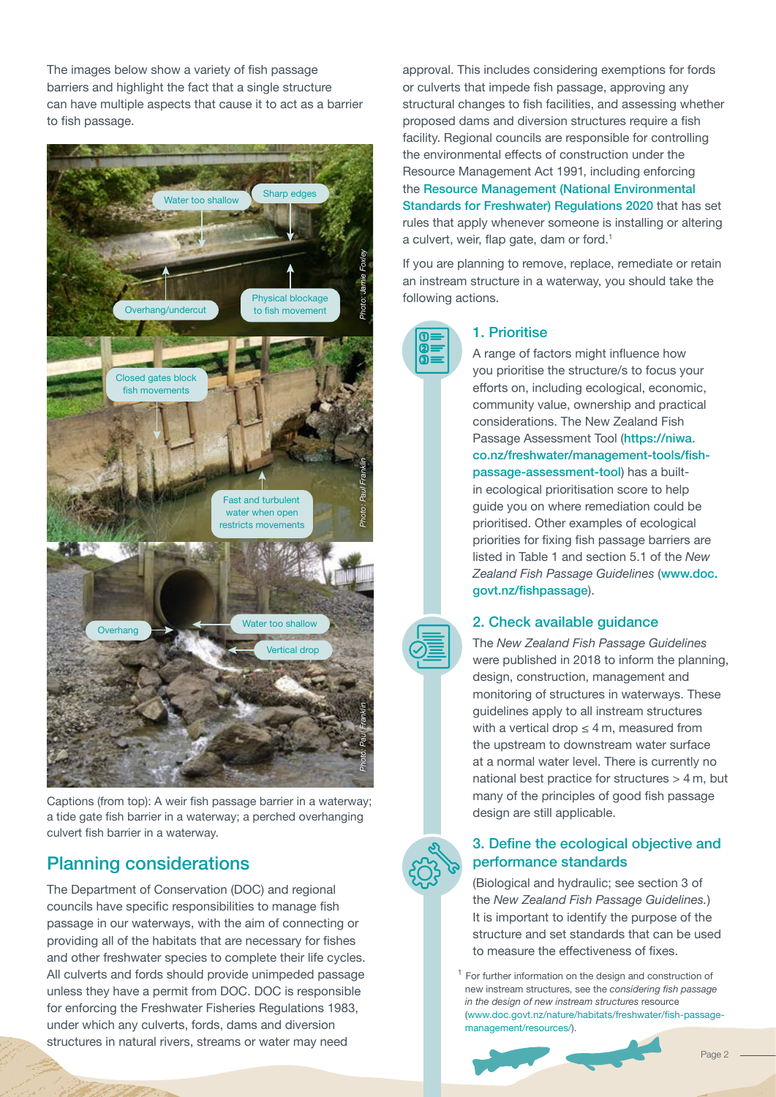The images below show a variety of fish passage barriers and highlight the fact that a single structure can have multiple aspects that cause it to act as a barrier to fish passage.



Captions (from top): A weir fish passage barrier in a waterway; a tide gate fish barrier in a waterway; a perched overhanging culvert fish barrier in a waterway.

# Planning considerations

The Department of Conservation (DOC) and regional councils have specific responsibilities to manage fish passage in our waterways, with the aim of connecting or providing all of the habitats that are necessary for fishes and other freshwater species to complete their life cycles. All culverts and fords should provide unimpeded passage unless they have a permit from DOC. DOC is responsible for enforcing the Freshwater Fisheries Regulations 1983, under which any culverts, fords, dams and diversion structures in natural rivers, streams or water may need

approval. This includes considering exemptions for fords or culverts that impede fish passage, approving any structural changes to fish facilities, and assessing whether proposed dams and diversion structures require a fish facility. Regional councils are responsible for controlling the environmental effects of construction under the Resource Management Act 1991, including enforcing the [Resource Management \(National Environmental](http://www.legislation.govt.nz/regulation/public/2020/0174/latest/LMS364099.html)  [Standards for Freshwater\) Regulations 2020](http://www.legislation.govt.nz/regulation/public/2020/0174/latest/LMS364099.html) that has set rules that apply whenever someone is installing or altering a culvert, weir, flap gate, dam or ford.<sup>1</sup>

If you are planning to remove, replace, remediate or retain an instream structure in a waterway, you should take the following actions.



#### 1. Prioritise

A range of factors might influence how you prioritise the structure/s to focus your efforts on, including ecological, economic, community value, ownership and practical considerations. The New Zealand Fish Passage Assessment Tool ([https://niwa.](https://niwa.co.nz/freshwater/management-tools/fish-passage-assessment-tool) [co.nz/freshwater/management-tools/fish](https://niwa.co.nz/freshwater/management-tools/fish-passage-assessment-tool)[passage-assessment-tool](https://niwa.co.nz/freshwater/management-tools/fish-passage-assessment-tool)) has a builtin ecological prioritisation score to help guide you on where remediation could be prioritised. Other examples of ecological priorities for fixing fish passage barriers are listed in Table 1 and section 5.1 of the *New Zealand Fish Passage Guidelines* ([www.doc.](http://www.doc.govt.nz/fishpassage) [govt.nz/fishpassage](http://www.doc.govt.nz/fishpassage)).

#### 2. Check available guidance

The *New Zealand Fish Passage Guidelines* were published in 2018 to inform the planning, design, construction, management and monitoring of structures in waterways. These guidelines apply to all instream structures with a vertical drop  $\leq$  4 m, measured from the upstream to downstream water surface at a normal water level. There is currently no national best practice for structures > 4 m, but many of the principles of good fish passage design are still applicable.



## 3. Define the ecological objective and performance standards

(Biological and hydraulic; see section 3 of the *New Zealand Fish Passage Guidelines.*) It is important to identify the purpose of the structure and set standards that can be used to measure the effectiveness of fixes.

 $1$  For further information on the design and construction of new instream structures, see the *considering fish passage in the design of new instream structures* resource ([www.doc.govt.nz/nature/habitats/freshwater/fish-passage](https://www.doc.govt.nz/nature/habitats/freshwater/fish-passage-management/resources/)[management/resources/\)](https://www.doc.govt.nz/nature/habitats/freshwater/fish-passage-management/resources/).

Page 2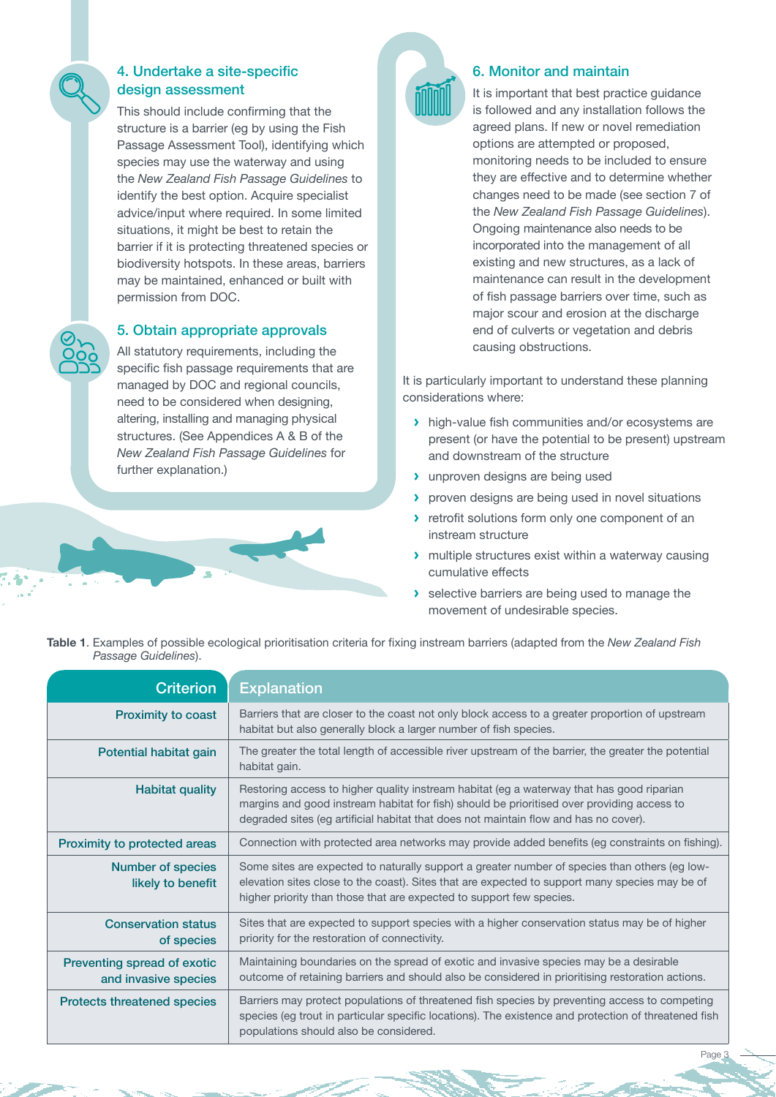## 4. Undertake a site-specific design assessment

This should include confirming that the structure is a barrier (eg by using the Fish Passage Assessment Tool), identifying which species may use the waterway and using the *New Zealand Fish Passage Guidelines* to identify the best option. Acquire specialist advice/input where required. In some limited situations, it might be best to retain the barrier if it is protecting threatened species or biodiversity hotspots. In these areas, barriers may be maintained, enhanced or built with permission from DOC.

## 5. Obtain appropriate approvals

All statutory requirements, including the specific fish passage requirements that are managed by DOC and regional councils, need to be considered when designing, altering, installing and managing physical structures. (See Appendices A & B of the *New Zealand Fish Passage Guidelines* for further explanation.)



## 6. Monitor and maintain

It is important that best practice guidance is followed and any installation follows the agreed plans. If new or novel remediation options are attempted or proposed, monitoring needs to be included to ensure they are effective and to determine whether changes need to be made (see section 7 of the *New Zealand Fish Passage Guidelines*). Ongoing maintenance also needs to be incorporated into the management of all existing and new structures, as a lack of maintenance can result in the development of fish passage barriers over time, such as major scour and erosion at the discharge end of culverts or vegetation and debris causing obstructions.

It is particularly important to understand these planning considerations where:

- **›** high-value fish communities and/or ecosystems are present (or have the potential to be present) upstream and downstream of the structure
- **›** unproven designs are being used
- **›** proven designs are being used in novel situations
- **›** retrofit solutions form only one component of an instream structure
- **›** multiple structures exist within a waterway causing cumulative effects
- **›** selective barriers are being used to manage the movement of undesirable species.
- **Table 1**. Examples of possible ecological prioritisation criteria for fixing instream barriers (adapted from the *New Zealand Fish Passage Guidelines*).

| <b>Criterion</b>                                    | <b>Explanation</b>                                                                                                                                                                                                                                                              |
|-----------------------------------------------------|---------------------------------------------------------------------------------------------------------------------------------------------------------------------------------------------------------------------------------------------------------------------------------|
| <b>Proximity to coast</b>                           | Barriers that are closer to the coast not only block access to a greater proportion of upstream<br>habitat but also generally block a larger number of fish species.                                                                                                            |
| Potential habitat gain                              | The greater the total length of accessible river upstream of the barrier, the greater the potential<br>habitat gain.                                                                                                                                                            |
| <b>Habitat quality</b>                              | Restoring access to higher quality instream habitat (eg a waterway that has good riparian<br>margins and good instream habitat for fish) should be prioritised over providing access to<br>degraded sites (eg artificial habitat that does not maintain flow and has no cover). |
| Proximity to protected areas                        | Connection with protected area networks may provide added benefits (eg constraints on fishing).                                                                                                                                                                                 |
| <b>Number of species</b><br>likely to benefit       | Some sites are expected to naturally support a greater number of species than others (eg low-<br>elevation sites close to the coast). Sites that are expected to support many species may be of<br>higher priority than those that are expected to support few species.         |
| <b>Conservation status</b><br>of species            | Sites that are expected to support species with a higher conservation status may be of higher<br>priority for the restoration of connectivity.                                                                                                                                  |
| Preventing spread of exotic<br>and invasive species | Maintaining boundaries on the spread of exotic and invasive species may be a desirable<br>outcome of retaining barriers and should also be considered in prioritising restoration actions.                                                                                      |
| <b>Protects threatened species</b>                  | Barriers may protect populations of threatened fish species by preventing access to competing<br>species (eg trout in particular specific locations). The existence and protection of threatened fish<br>populations should also be considered.                                 |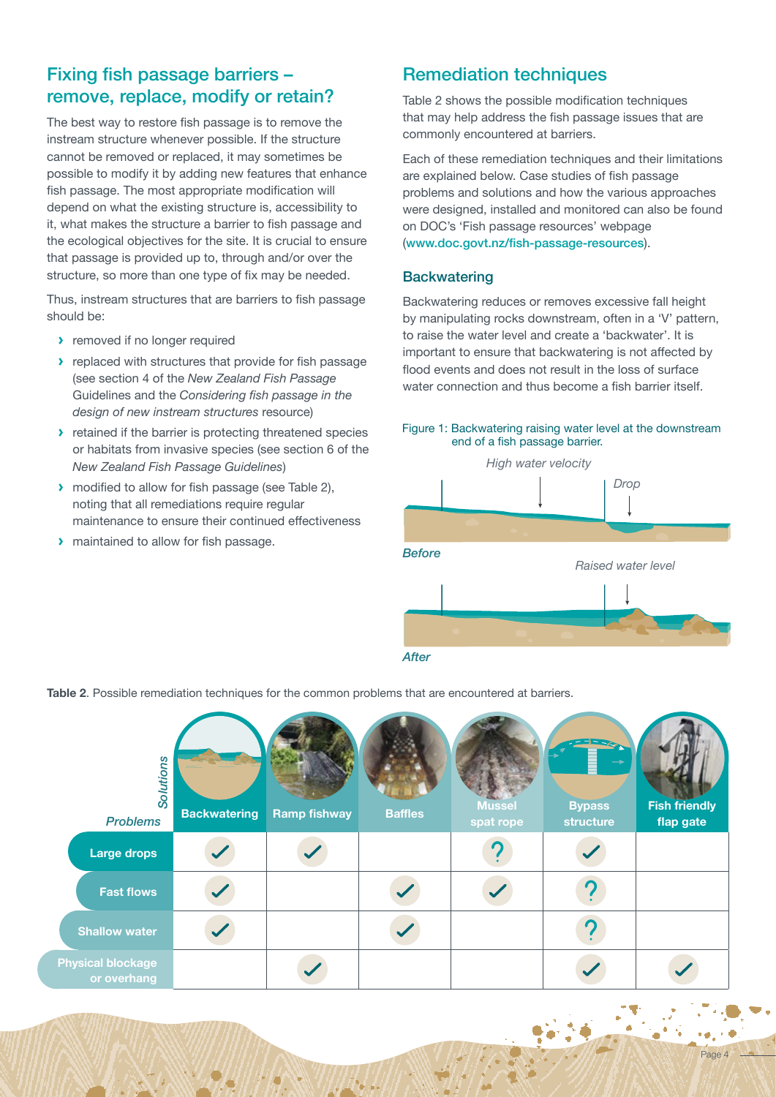# Fixing fish passage barriers – remove, replace, modify or retain?

The best way to restore fish passage is to remove the instream structure whenever possible. If the structure cannot be removed or replaced, it may sometimes be possible to modify it by adding new features that enhance fish passage. The most appropriate modification will depend on what the existing structure is, accessibility to it, what makes the structure a barrier to fish passage and the ecological objectives for the site. It is crucial to ensure that passage is provided up to, through and/or over the structure, so more than one type of fix may be needed.

Thus, instream structures that are barriers to fish passage should be:

- **›** removed if no longer required
- **›** replaced with structures that provide for fish passage (see section 4 of the *New Zealand Fish Passage* Guidelines and the *Considering fish passage in the design of new instream structures* resource)
- **›** retained if the barrier is protecting threatened species or habitats from invasive species (see section 6 of the *New Zealand Fish Passage Guidelines*)
- **›** modified to allow for fish passage (see Table 2), noting that all remediations require regular maintenance to ensure their continued effectiveness
- **›** maintained to allow for fish passage.

# Remediation techniques

Table 2 shows the possible modification techniques that may help address the fish passage issues that are commonly encountered at barriers.

Each of these remediation techniques and their limitations are explained below. Case studies of fish passage problems and solutions and how the various approaches were designed, installed and monitored can also be found on DOC's 'Fish passage resources' webpage ([www.doc.govt.nz/fish-passage-resources](http://www.doc.govt.nz/fish-passage-resources)).

#### **Backwatering**

Backwatering reduces or removes excessive fall height by manipulating rocks downstream, often in a 'V' pattern, to raise the water level and create a 'backwater'. It is important to ensure that backwatering is not affected by flood events and does not result in the loss of surface water connection and thus become a fish barrier itself.







**Table 2**. Possible remediation techniques for the common problems that are encountered at barriers.

| Solutions<br><b>Problems</b>            | <b>Backwatering</b> | <b>Ramp fishway</b> | <b>Baffles</b> | <b>Mussel</b><br>spat rope | <b>Bypass</b><br>structure | <b>Fish friendly</b><br>flap gate |
|-----------------------------------------|---------------------|---------------------|----------------|----------------------------|----------------------------|-----------------------------------|
| <b>Large drops</b>                      |                     |                     |                |                            |                            |                                   |
| <b>Fast flows</b>                       |                     |                     |                |                            |                            |                                   |
| <b>Shallow water</b>                    |                     |                     |                |                            |                            |                                   |
| <b>Physical blockage</b><br>or overhang |                     |                     |                |                            |                            |                                   |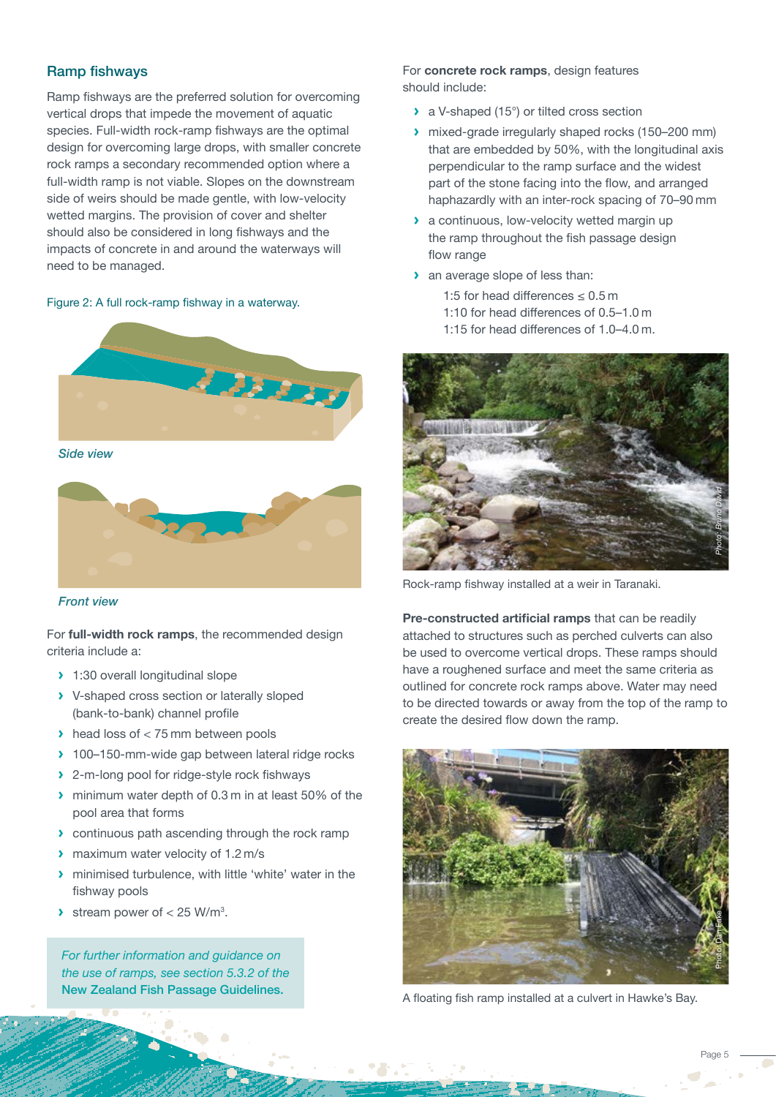## Ramp fishways

Ramp fishways are the preferred solution for overcoming vertical drops that impede the movement of aquatic species. Full-width rock-ramp fishways are the optimal design for overcoming large drops, with smaller concrete rock ramps a secondary recommended option where a full-width ramp is not viable. Slopes on the downstream side of weirs should be made gentle, with low-velocity wetted margins. The provision of cover and shelter should also be considered in long fishways and the impacts of concrete in and around the waterways will need to be managed.

#### Figure 2: A full rock-ramp fishway in a waterway.



*Side view*



*Front view*

For **full-width rock ramps**, the recommended design criteria include a:

- **›** 1:30 overall longitudinal slope
- **›** V-shaped cross section or laterally sloped (bank-to-bank) channel profile
- **›** head loss of < 75 mm between pools
- **›** 100–150-mm-wide gap between lateral ridge rocks
- **›** 2-m-long pool for ridge-style rock fishways
- **›** minimum water depth of 0.3 m in at least 50% of the pool area that forms
- **›** continuous path ascending through the rock ramp
- **›** maximum water velocity of 1.2 m/s
- **›** minimised turbulence, with little 'white' water in the fishway pools
- **›** stream power of < 25 W/m3 .

*For further information and guidance on the use of ramps, see section 5.3.2 of the*  New Zealand Fish Passage Guidelines.

#### For **concrete rock ramps**, design features should include:

- **›** a V-shaped (15°) or tilted cross section
- **›** mixed-grade irregularly shaped rocks (150–200 mm) that are embedded by 50%, with the longitudinal axis perpendicular to the ramp surface and the widest part of the stone facing into the flow, and arranged haphazardly with an inter-rock spacing of 70–90 mm
- **›** a continuous, low-velocity wetted margin up the ramp throughout the fish passage design flow range
- **›** an average slope of less than:
	- 1:5 for head differences ≤ 0.5 m
	- 1:10 for head differences of 0.5–1.0 m
	- 1:15 for head differences of 1.0–4.0 m.



Rock-ramp fishway installed at a weir in Taranaki.

Pre-constructed artificial ramps that can be readily attached to structures such as perched culverts can also be used to overcome vertical drops. These ramps should have a roughened surface and meet the same criteria as outlined for concrete rock ramps above. Water may need to be directed towards or away from the top of the ramp to create the desired flow down the ramp.



A floating fish ramp installed at a culvert in Hawke's Bay.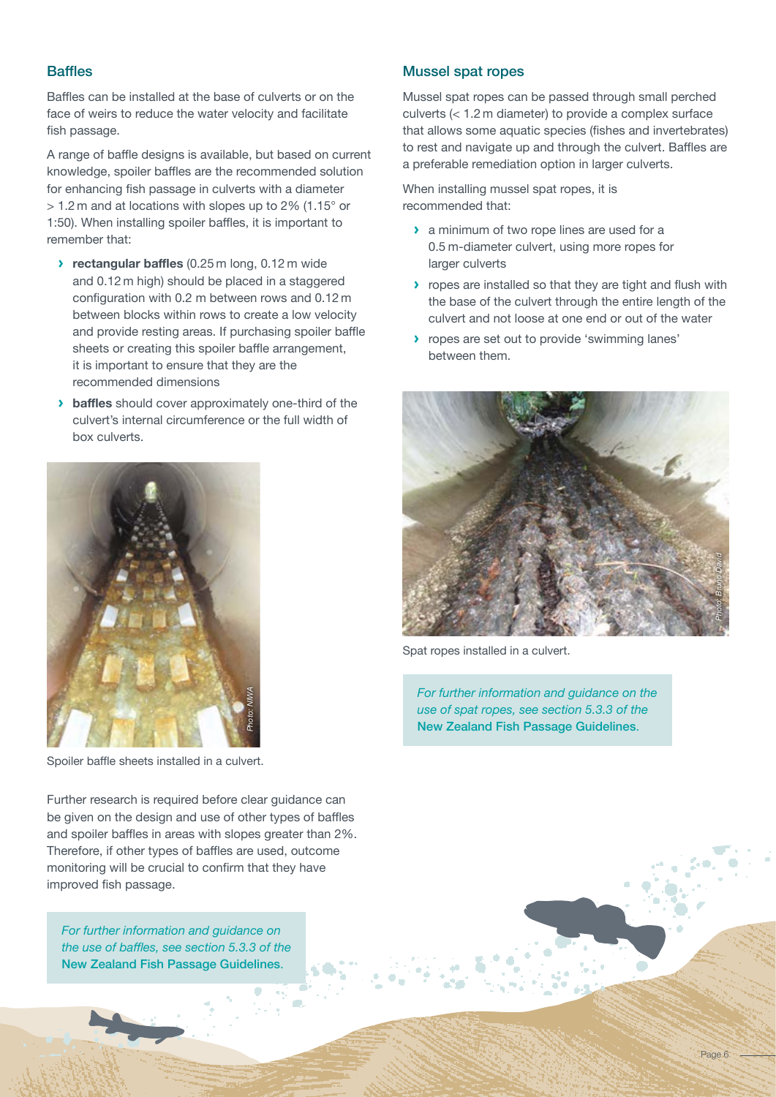## **Baffles**

Baffles can be installed at the base of culverts or on the face of weirs to reduce the water velocity and facilitate fish passage.

A range of baffle designs is available, but based on current knowledge, spoiler baffles are the recommended solution for enhancing fish passage in culverts with a diameter > 1.2 m and at locations with slopes up to 2% (1.15° or 1:50). When installing spoiler baffles, it is important to remember that:

- **› rectangular baffles** (0.25 m long, 0.12 m wide and 0.12 m high) should be placed in a staggered configuration with 0.2 m between rows and 0.12 m between blocks within rows to create a low velocity and provide resting areas. If purchasing spoiler baffle sheets or creating this spoiler baffle arrangement, it is important to ensure that they are the recommended dimensions
- **› baffles** should cover approximately one-third of the culvert's internal circumference or the full width of box culverts.

#### Mussel spat ropes

Mussel spat ropes can be passed through small perched culverts (< 1.2 m diameter) to provide a complex surface that allows some aquatic species (fishes and invertebrates) to rest and navigate up and through the culvert. Baffles are a preferable remediation option in larger culverts.

When installing mussel spat ropes, it is recommended that:

- **›** a minimum of two rope lines are used for a 0.5 m-diameter culvert, using more ropes for larger culverts
- **›** ropes are installed so that they are tight and flush with the base of the culvert through the entire length of the culvert and not loose at one end or out of the water
- **›** ropes are set out to provide 'swimming lanes' between them.



Spat ropes installed in a culvert.

*For further information and guidance on the use of spat ropes, see section 5.3.3 of the* New Zealand Fish Passage Guidelines.



Spoiler baffle sheets installed in a culvert.

Further research is required before clear guidance can be given on the design and use of other types of baffles and spoiler baffles in areas with slopes greater than 2%. Therefore, if other types of baffles are used, outcome monitoring will be crucial to confirm that they have improved fish passage.

*For further information and guidance on the use of baffles, see section 5.3.3 of the*  New Zealand Fish Passage Guidelines.